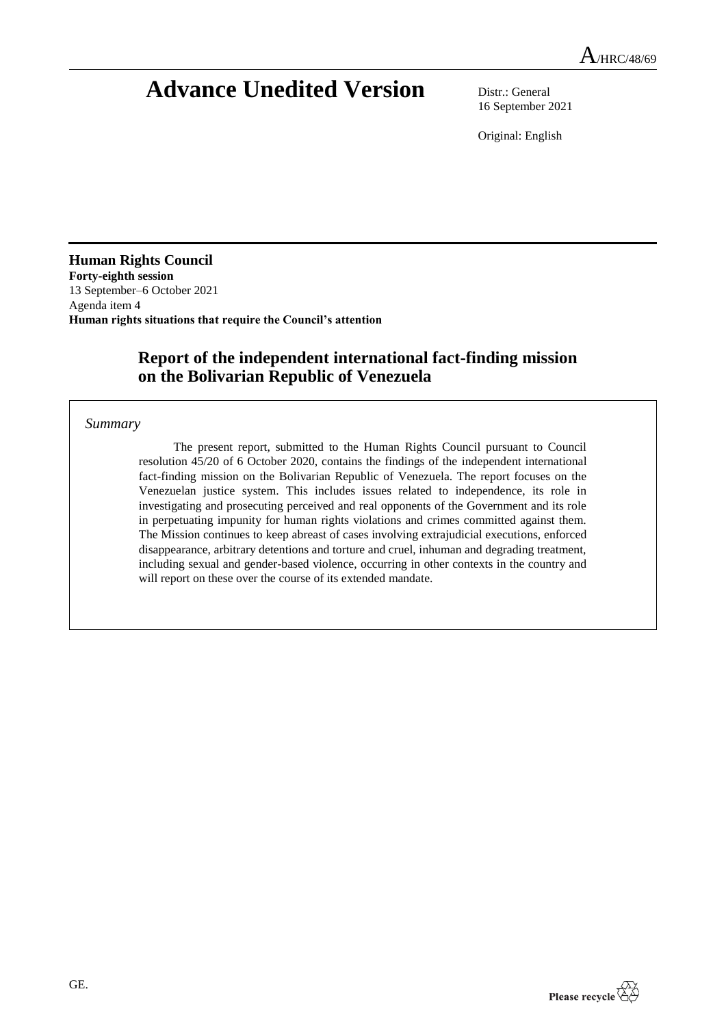# **Advance Unedited Version** Distr.: General

16 September 2021

Original: English

**Human Rights Council Forty-eighth session** 13 September–6 October 2021 Agenda item 4 **Human rights situations that require the Council's attention**

# **Report of the independent international fact-finding mission on the Bolivarian Republic of Venezuela**

# *Summary*

The present report, submitted to the Human Rights Council pursuant to Council resolution 45/20 of 6 October 2020, contains the findings of the independent international fact-finding mission on the Bolivarian Republic of Venezuela. The report focuses on the Venezuelan justice system. This includes issues related to independence, its role in investigating and prosecuting perceived and real opponents of the Government and its role in perpetuating impunity for human rights violations and crimes committed against them. The Mission continues to keep abreast of cases involving extrajudicial executions, enforced disappearance, arbitrary detentions and torture and cruel, inhuman and degrading treatment, including sexual and gender-based violence, occurring in other contexts in the country and will report on these over the course of its extended mandate.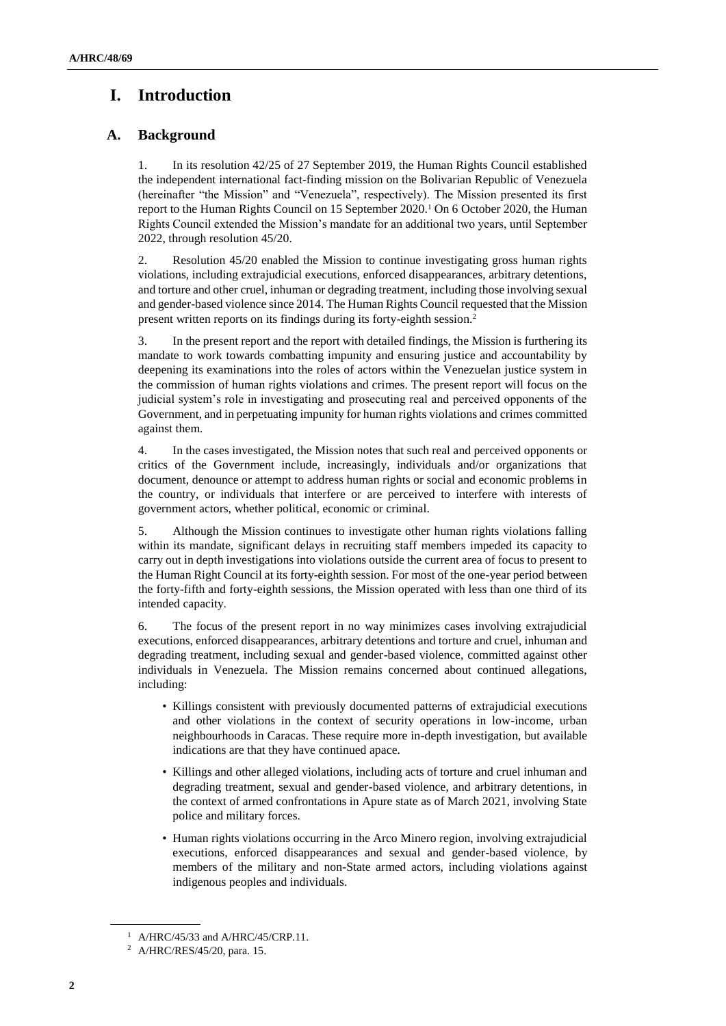# **I. Introduction**

# **A. Background**

1. In its resolution 42/25 of 27 September 2019, the Human Rights Council established the independent international fact-finding mission on the Bolivarian Republic of Venezuela (hereinafter "the Mission" and "Venezuela", respectively). The Mission presented its first report to the Human Rights Council on 15 September 2020.<sup>1</sup> On 6 October 2020, the Human Rights Council extended the Mission's mandate for an additional two years, until September 2022, through resolution 45/20.

2. Resolution 45/20 enabled the Mission to continue investigating gross human rights violations, including extrajudicial executions, enforced disappearances, arbitrary detentions, and torture and other cruel, inhuman or degrading treatment, including those involving sexual and gender-based violence since 2014. The Human Rights Council requested that the Mission present written reports on its findings during its forty-eighth session.<sup>2</sup>

3. In the present report and the report with detailed findings, the Mission is furthering its mandate to work towards combatting impunity and ensuring justice and accountability by deepening its examinations into the roles of actors within the Venezuelan justice system in the commission of human rights violations and crimes. The present report will focus on the judicial system's role in investigating and prosecuting real and perceived opponents of the Government, and in perpetuating impunity for human rights violations and crimes committed against them.

4. In the cases investigated, the Mission notes that such real and perceived opponents or critics of the Government include, increasingly, individuals and/or organizations that document, denounce or attempt to address human rights or social and economic problems in the country, or individuals that interfere or are perceived to interfere with interests of government actors, whether political, economic or criminal.

5. Although the Mission continues to investigate other human rights violations falling within its mandate, significant delays in recruiting staff members impeded its capacity to carry out in depth investigations into violations outside the current area of focus to present to the Human Right Council at its forty-eighth session. For most of the one-year period between the forty-fifth and forty-eighth sessions, the Mission operated with less than one third of its intended capacity.

6. The focus of the present report in no way minimizes cases involving extrajudicial executions, enforced disappearances, arbitrary detentions and torture and cruel, inhuman and degrading treatment, including sexual and gender-based violence, committed against other individuals in Venezuela. The Mission remains concerned about continued allegations, including:

- Killings consistent with previously documented patterns of extrajudicial executions and other violations in the context of security operations in low-income, urban neighbourhoods in Caracas. These require more in-depth investigation, but available indications are that they have continued apace.
- Killings and other alleged violations, including acts of torture and cruel inhuman and degrading treatment, sexual and gender-based violence, and arbitrary detentions, in the context of armed confrontations in Apure state as of March 2021, involving State police and military forces.
- Human rights violations occurring in the Arco Minero region, involving extrajudicial executions, enforced disappearances and sexual and gender-based violence, by members of the military and non-State armed actors, including violations against indigenous peoples and individuals.

<sup>&</sup>lt;sup>1</sup> A/HRC/45/33 and A/HRC/45/CRP.11.

<sup>2</sup> A/HRC/RES/45/20, para. 15.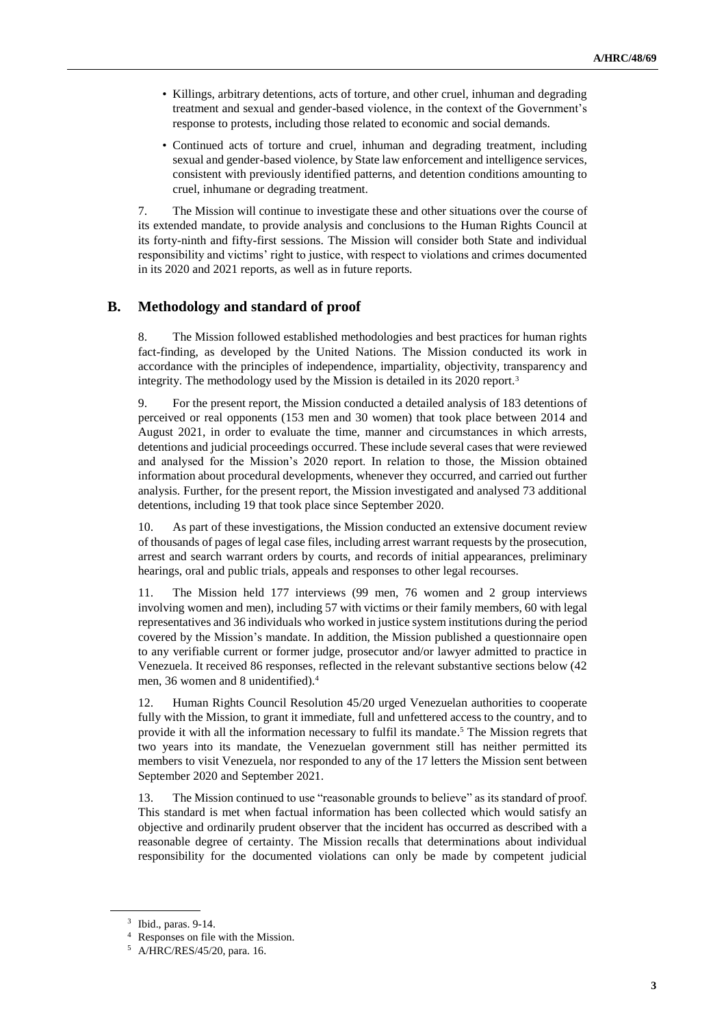- Killings, arbitrary detentions, acts of torture, and other cruel, inhuman and degrading treatment and sexual and gender-based violence, in the context of the Government's response to protests, including those related to economic and social demands.
- Continued acts of torture and cruel, inhuman and degrading treatment, including sexual and gender-based violence, by State law enforcement and intelligence services, consistent with previously identified patterns, and detention conditions amounting to cruel, inhumane or degrading treatment.

7. The Mission will continue to investigate these and other situations over the course of its extended mandate, to provide analysis and conclusions to the Human Rights Council at its forty-ninth and fifty-first sessions. The Mission will consider both State and individual responsibility and victims' right to justice, with respect to violations and crimes documented in its 2020 and 2021 reports, as well as in future reports.

## **B. Methodology and standard of proof**

8. The Mission followed established methodologies and best practices for human rights fact-finding, as developed by the United Nations. The Mission conducted its work in accordance with the principles of independence, impartiality, objectivity, transparency and integrity. The methodology used by the Mission is detailed in its 2020 report.<sup>3</sup>

9. For the present report, the Mission conducted a detailed analysis of 183 detentions of perceived or real opponents (153 men and 30 women) that took place between 2014 and August 2021, in order to evaluate the time, manner and circumstances in which arrests, detentions and judicial proceedings occurred. These include several cases that were reviewed and analysed for the Mission's 2020 report. In relation to those, the Mission obtained information about procedural developments, whenever they occurred, and carried out further analysis. Further, for the present report, the Mission investigated and analysed 73 additional detentions, including 19 that took place since September 2020.

10. As part of these investigations, the Mission conducted an extensive document review of thousands of pages of legal case files, including arrest warrant requests by the prosecution, arrest and search warrant orders by courts, and records of initial appearances, preliminary hearings, oral and public trials, appeals and responses to other legal recourses.

11. The Mission held 177 interviews (99 men, 76 women and 2 group interviews involving women and men), including 57 with victims or their family members, 60 with legal representatives and 36 individuals who worked in justice system institutions during the period covered by the Mission's mandate. In addition, the Mission published a questionnaire open to any verifiable current or former judge, prosecutor and/or lawyer admitted to practice in Venezuela. It received 86 responses, reflected in the relevant substantive sections below (42 men, 36 women and 8 unidentified).<sup>4</sup>

12. Human Rights Council Resolution 45/20 urged Venezuelan authorities to cooperate fully with the Mission, to grant it immediate, full and unfettered access to the country, and to provide it with all the information necessary to fulfil its mandate. <sup>5</sup> The Mission regrets that two years into its mandate, the Venezuelan government still has neither permitted its members to visit Venezuela, nor responded to any of the 17 letters the Mission sent between September 2020 and September 2021.

13. The Mission continued to use "reasonable grounds to believe" as its standard of proof. This standard is met when factual information has been collected which would satisfy an objective and ordinarily prudent observer that the incident has occurred as described with a reasonable degree of certainty. The Mission recalls that determinations about individual responsibility for the documented violations can only be made by competent judicial

<sup>3</sup> Ibid., paras. 9-14.

<sup>4</sup> Responses on file with the Mission.

<sup>5</sup> A/HRC/RES/45/20, para. 16.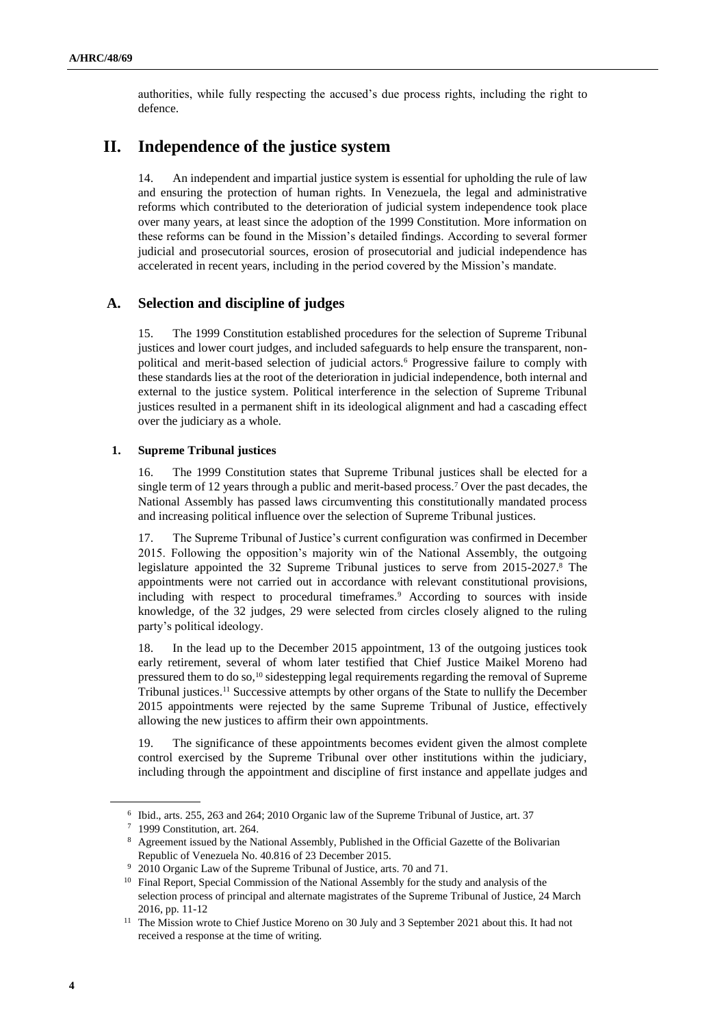authorities, while fully respecting the accused's due process rights, including the right to defence.

# **II. Independence of the justice system**

14. An independent and impartial justice system is essential for upholding the rule of law and ensuring the protection of human rights. In Venezuela, the legal and administrative reforms which contributed to the deterioration of judicial system independence took place over many years, at least since the adoption of the 1999 Constitution. More information on these reforms can be found in the Mission's detailed findings. According to several former judicial and prosecutorial sources, erosion of prosecutorial and judicial independence has accelerated in recent years, including in the period covered by the Mission's mandate.

## **A. Selection and discipline of judges**

15. The 1999 Constitution established procedures for the selection of Supreme Tribunal justices and lower court judges, and included safeguards to help ensure the transparent, nonpolitical and merit-based selection of judicial actors.<sup>6</sup> Progressive failure to comply with these standards lies at the root of the deterioration in judicial independence, both internal and external to the justice system. Political interference in the selection of Supreme Tribunal justices resulted in a permanent shift in its ideological alignment and had a cascading effect over the judiciary as a whole.

#### **1. Supreme Tribunal justices**

16. The 1999 Constitution states that Supreme Tribunal justices shall be elected for a single term of 12 years through a public and merit-based process.<sup>7</sup> Over the past decades, the National Assembly has passed laws circumventing this constitutionally mandated process and increasing political influence over the selection of Supreme Tribunal justices.

17. The Supreme Tribunal of Justice's current configuration was confirmed in December 2015. Following the opposition's majority win of the National Assembly, the outgoing legislature appointed the 32 Supreme Tribunal justices to serve from 2015-2027.<sup>8</sup> The appointments were not carried out in accordance with relevant constitutional provisions, including with respect to procedural timeframes.<sup>9</sup> According to sources with inside knowledge, of the 32 judges, 29 were selected from circles closely aligned to the ruling party's political ideology.

18. In the lead up to the December 2015 appointment, 13 of the outgoing justices took early retirement, several of whom later testified that Chief Justice Maikel Moreno had pressured them to do so,<sup>10</sup> sidestepping legal requirements regarding the removal of Supreme Tribunal justices.<sup>11</sup> Successive attempts by other organs of the State to nullify the December 2015 appointments were rejected by the same Supreme Tribunal of Justice, effectively allowing the new justices to affirm their own appointments.

19. The significance of these appointments becomes evident given the almost complete control exercised by the Supreme Tribunal over other institutions within the judiciary, including through the appointment and discipline of first instance and appellate judges and

<sup>6</sup> Ibid., arts. 255, 263 and 264; 2010 Organic law of the Supreme Tribunal of Justice, art. 37

<sup>7</sup> 1999 Constitution, art. 264.

<sup>8</sup> Agreement issued by the National Assembly, Published in the Official Gazette of the Bolivarian Republic of Venezuela No. 40.816 of 23 December 2015.

<sup>9</sup> 2010 Organic Law of the Supreme Tribunal of Justice, arts. 70 and 71.

<sup>&</sup>lt;sup>10</sup> Final Report, Special Commission of the National Assembly for the study and analysis of the selection process of principal and alternate magistrates of the Supreme Tribunal of Justice, 24 March 2016, pp. 11-12

<sup>&</sup>lt;sup>11</sup> The Mission wrote to Chief Justice Moreno on 30 July and 3 September 2021 about this. It had not received a response at the time of writing.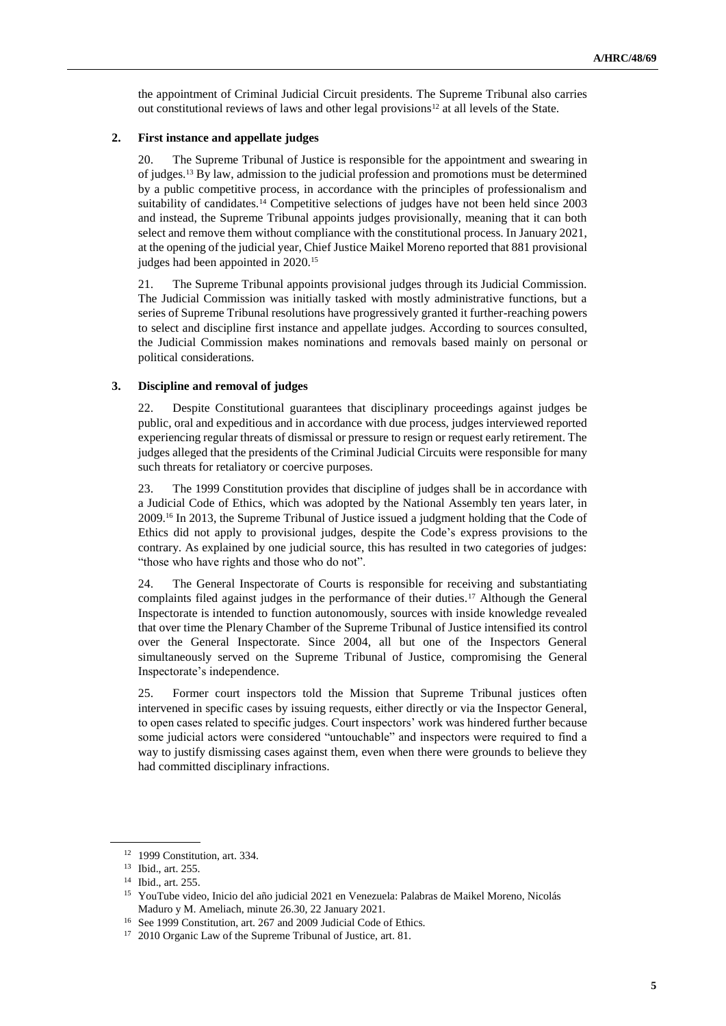the appointment of Criminal Judicial Circuit presidents. The Supreme Tribunal also carries out constitutional reviews of laws and other legal provisions<sup>12</sup> at all levels of the State.

#### **2. First instance and appellate judges**

20. The Supreme Tribunal of Justice is responsible for the appointment and swearing in of judges.<sup>13</sup> By law, admission to the judicial profession and promotions must be determined by a public competitive process, in accordance with the principles of professionalism and suitability of candidates.<sup>14</sup> Competitive selections of judges have not been held since 2003 and instead, the Supreme Tribunal appoints judges provisionally, meaning that it can both select and remove them without compliance with the constitutional process. In January 2021, at the opening of the judicial year, Chief Justice Maikel Moreno reported that 881 provisional judges had been appointed in 2020.<sup>15</sup>

21. The Supreme Tribunal appoints provisional judges through its Judicial Commission. The Judicial Commission was initially tasked with mostly administrative functions, but a series of Supreme Tribunal resolutions have progressively granted it further-reaching powers to select and discipline first instance and appellate judges. According to sources consulted, the Judicial Commission makes nominations and removals based mainly on personal or political considerations.

#### **3. Discipline and removal of judges**

22. Despite Constitutional guarantees that disciplinary proceedings against judges be public, oral and expeditious and in accordance with due process, judges interviewed reported experiencing regular threats of dismissal or pressure to resign or request early retirement. The judges alleged that the presidents of the Criminal Judicial Circuits were responsible for many such threats for retaliatory or coercive purposes.

23. The 1999 Constitution provides that discipline of judges shall be in accordance with a Judicial Code of Ethics, which was adopted by the National Assembly ten years later, in 2009.<sup>16</sup> In 2013, the Supreme Tribunal of Justice issued a judgment holding that the Code of Ethics did not apply to provisional judges, despite the Code's express provisions to the contrary. As explained by one judicial source, this has resulted in two categories of judges: "those who have rights and those who do not".

24. The General Inspectorate of Courts is responsible for receiving and substantiating complaints filed against judges in the performance of their duties.<sup>17</sup> Although the General Inspectorate is intended to function autonomously, sources with inside knowledge revealed that over time the Plenary Chamber of the Supreme Tribunal of Justice intensified its control over the General Inspectorate. Since 2004, all but one of the Inspectors General simultaneously served on the Supreme Tribunal of Justice, compromising the General Inspectorate's independence.

25. Former court inspectors told the Mission that Supreme Tribunal justices often intervened in specific cases by issuing requests, either directly or via the Inspector General, to open cases related to specific judges. Court inspectors' work was hindered further because some judicial actors were considered "untouchable" and inspectors were required to find a way to justify dismissing cases against them, even when there were grounds to believe they had committed disciplinary infractions.

<sup>12</sup> 1999 Constitution, art. 334.

<sup>13</sup> Ibid., art. 255.

<sup>14</sup> Ibid., art. 255.

<sup>15</sup> YouTube video, Inicio del año judicial 2021 en Venezuela: Palabras de Maikel Moreno, Nicolás Maduro y M. Ameliach, minute 26.30, 22 January 2021.

<sup>16</sup> See 1999 Constitution, art. 267 and 2009 Judicial Code of Ethics.

<sup>17</sup> 2010 Organic Law of the Supreme Tribunal of Justice, art. 81.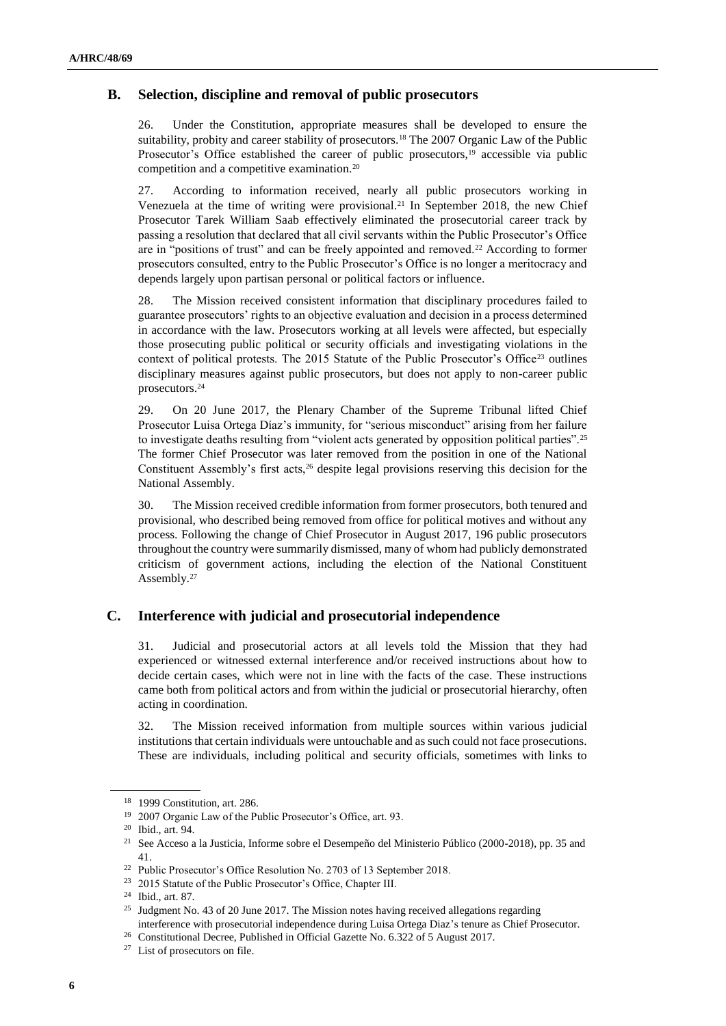## **B. Selection, discipline and removal of public prosecutors**

26. Under the Constitution, appropriate measures shall be developed to ensure the suitability, probity and career stability of prosecutors.<sup>18</sup> The 2007 Organic Law of the Public Prosecutor's Office established the career of public prosecutors,<sup>19</sup> accessible via public competition and a competitive examination.<sup>20</sup>

27. According to information received, nearly all public prosecutors working in Venezuela at the time of writing were provisional.<sup>21</sup> In September 2018, the new Chief Prosecutor Tarek William Saab effectively eliminated the prosecutorial career track by passing a resolution that declared that all civil servants within the Public Prosecutor's Office are in "positions of trust" and can be freely appointed and removed.<sup>22</sup> According to former prosecutors consulted, entry to the Public Prosecutor's Office is no longer a meritocracy and depends largely upon partisan personal or political factors or influence.

28. The Mission received consistent information that disciplinary procedures failed to guarantee prosecutors' rights to an objective evaluation and decision in a process determined in accordance with the law. Prosecutors working at all levels were affected, but especially those prosecuting public political or security officials and investigating violations in the context of political protests. The 2015 Statute of the Public Prosecutor's Office<sup>23</sup> outlines disciplinary measures against public prosecutors, but does not apply to non-career public prosecutors.<sup>24</sup>

29. On 20 June 2017, the Plenary Chamber of the Supreme Tribunal lifted Chief Prosecutor Luisa Ortega Díaz's immunity, for "serious misconduct" arising from her failure to investigate deaths resulting from "violent acts generated by opposition political parties".<sup>25</sup> The former Chief Prosecutor was later removed from the position in one of the National Constituent Assembly's first acts,<sup>26</sup> despite legal provisions reserving this decision for the National Assembly.

30. The Mission received credible information from former prosecutors, both tenured and provisional, who described being removed from office for political motives and without any process. Following the change of Chief Prosecutor in August 2017, 196 public prosecutors throughout the country were summarily dismissed, many of whom had publicly demonstrated criticism of government actions, including the election of the National Constituent Assembly.<sup>27</sup>

### **C. Interference with judicial and prosecutorial independence**

31. Judicial and prosecutorial actors at all levels told the Mission that they had experienced or witnessed external interference and/or received instructions about how to decide certain cases, which were not in line with the facts of the case. These instructions came both from political actors and from within the judicial or prosecutorial hierarchy, often acting in coordination.

32. The Mission received information from multiple sources within various judicial institutions that certain individuals were untouchable and as such could not face prosecutions. These are individuals, including political and security officials, sometimes with links to

<sup>18</sup> 1999 Constitution, art. 286.

<sup>19</sup> 2007 Organic Law of the Public Prosecutor's Office, art. 93.

<sup>20</sup> Ibid., art. 94.

<sup>21</sup> See Acceso a la Justicia, Informe sobre el Desempeño del Ministerio Público (2000-2018), pp. 35 and 41.

<sup>22</sup> Public Prosecutor's Office Resolution No. 2703 of 13 September 2018.

<sup>23</sup> 2015 Statute of the Public Prosecutor's Office, Chapter III.

<sup>24</sup> Ibid., art. 87.

<sup>&</sup>lt;sup>25</sup> Judgment No. 43 of 20 June 2017. The Mission notes having received allegations regarding interference with prosecutorial independence during Luisa Ortega Diaz's tenure as Chief Prosecutor.

<sup>&</sup>lt;sup>26</sup> Constitutional Decree, Published in Official Gazette No. 6.322 of 5 August 2017.

<sup>27</sup> List of prosecutors on file.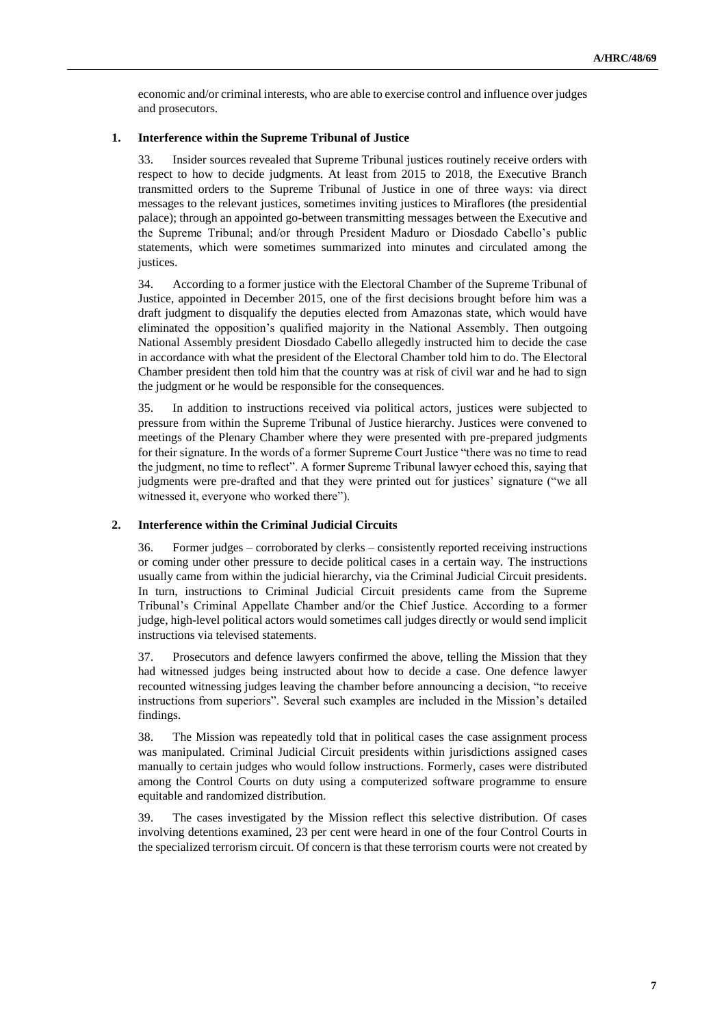economic and/or criminal interests, who are able to exercise control and influence over judges and prosecutors.

### **1. Interference within the Supreme Tribunal of Justice**

33. Insider sources revealed that Supreme Tribunal justices routinely receive orders with respect to how to decide judgments. At least from 2015 to 2018, the Executive Branch transmitted orders to the Supreme Tribunal of Justice in one of three ways: via direct messages to the relevant justices, sometimes inviting justices to Miraflores (the presidential palace); through an appointed go-between transmitting messages between the Executive and the Supreme Tribunal; and/or through President Maduro or Diosdado Cabello's public statements, which were sometimes summarized into minutes and circulated among the justices.

34. According to a former justice with the Electoral Chamber of the Supreme Tribunal of Justice, appointed in December 2015, one of the first decisions brought before him was a draft judgment to disqualify the deputies elected from Amazonas state, which would have eliminated the opposition's qualified majority in the National Assembly. Then outgoing National Assembly president Diosdado Cabello allegedly instructed him to decide the case in accordance with what the president of the Electoral Chamber told him to do. The Electoral Chamber president then told him that the country was at risk of civil war and he had to sign the judgment or he would be responsible for the consequences.

35. In addition to instructions received via political actors, justices were subjected to pressure from within the Supreme Tribunal of Justice hierarchy. Justices were convened to meetings of the Plenary Chamber where they were presented with pre-prepared judgments for their signature. In the words of a former Supreme Court Justice "there was no time to read the judgment, no time to reflect". A former Supreme Tribunal lawyer echoed this, saying that judgments were pre-drafted and that they were printed out for justices' signature ("we all witnessed it, everyone who worked there").

### **2. Interference within the Criminal Judicial Circuits**

36. Former judges – corroborated by clerks – consistently reported receiving instructions or coming under other pressure to decide political cases in a certain way. The instructions usually came from within the judicial hierarchy, via the Criminal Judicial Circuit presidents. In turn, instructions to Criminal Judicial Circuit presidents came from the Supreme Tribunal's Criminal Appellate Chamber and/or the Chief Justice. According to a former judge, high-level political actors would sometimes call judges directly or would send implicit instructions via televised statements.

37. Prosecutors and defence lawyers confirmed the above, telling the Mission that they had witnessed judges being instructed about how to decide a case. One defence lawyer recounted witnessing judges leaving the chamber before announcing a decision, "to receive instructions from superiors". Several such examples are included in the Mission's detailed findings.

38. The Mission was repeatedly told that in political cases the case assignment process was manipulated. Criminal Judicial Circuit presidents within jurisdictions assigned cases manually to certain judges who would follow instructions. Formerly, cases were distributed among the Control Courts on duty using a computerized software programme to ensure equitable and randomized distribution.

39. The cases investigated by the Mission reflect this selective distribution. Of cases involving detentions examined, 23 per cent were heard in one of the four Control Courts in the specialized terrorism circuit. Of concern is that these terrorism courts were not created by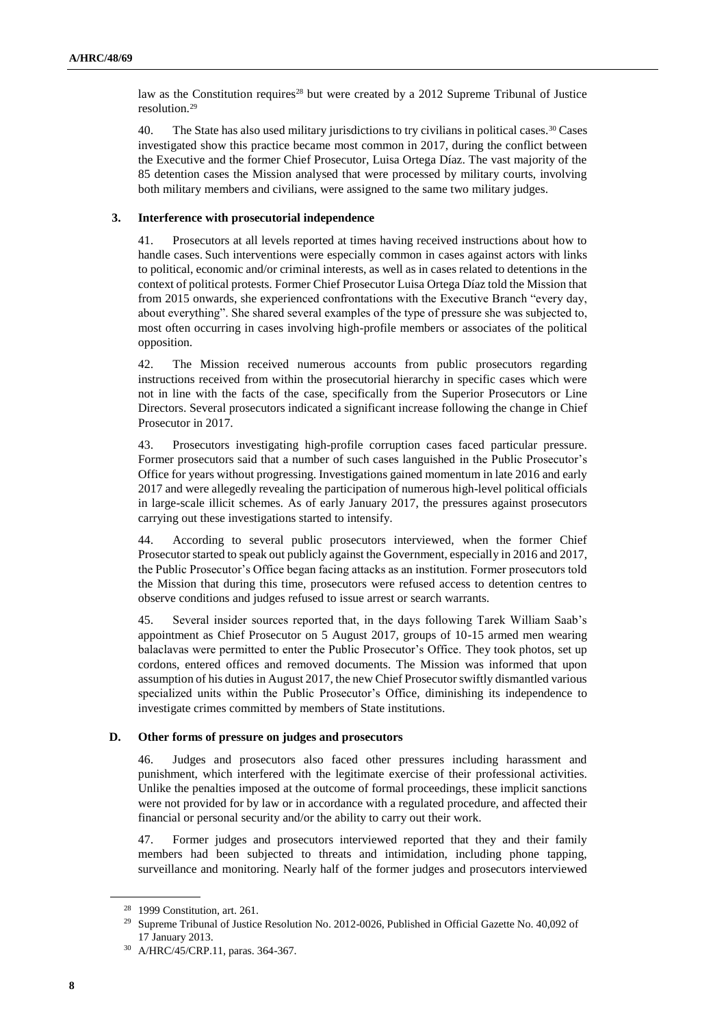law as the Constitution requires<sup>28</sup> but were created by a 2012 Supreme Tribunal of Justice resolution.<sup>29</sup>

40. The State has also used military jurisdictions to try civilians in political cases.<sup>30</sup> Cases investigated show this practice became most common in 2017, during the conflict between the Executive and the former Chief Prosecutor, Luisa Ortega Díaz. The vast majority of the 85 detention cases the Mission analysed that were processed by military courts, involving both military members and civilians, were assigned to the same two military judges.

#### **3. Interference with prosecutorial independence**

41. Prosecutors at all levels reported at times having received instructions about how to handle cases. Such interventions were especially common in cases against actors with links to political, economic and/or criminal interests, as well as in cases related to detentions in the context of political protests. Former Chief Prosecutor Luisa Ortega Díaz told the Mission that from 2015 onwards, she experienced confrontations with the Executive Branch "every day, about everything". She shared several examples of the type of pressure she was subjected to, most often occurring in cases involving high-profile members or associates of the political opposition.

42. The Mission received numerous accounts from public prosecutors regarding instructions received from within the prosecutorial hierarchy in specific cases which were not in line with the facts of the case, specifically from the Superior Prosecutors or Line Directors. Several prosecutors indicated a significant increase following the change in Chief Prosecutor in 2017.

43. Prosecutors investigating high-profile corruption cases faced particular pressure. Former prosecutors said that a number of such cases languished in the Public Prosecutor's Office for years without progressing. Investigations gained momentum in late 2016 and early 2017 and were allegedly revealing the participation of numerous high-level political officials in large-scale illicit schemes. As of early January 2017, the pressures against prosecutors carrying out these investigations started to intensify.

44. According to several public prosecutors interviewed, when the former Chief Prosecutor started to speak out publicly against the Government, especially in 2016 and 2017, the Public Prosecutor's Office began facing attacks as an institution. Former prosecutors told the Mission that during this time, prosecutors were refused access to detention centres to observe conditions and judges refused to issue arrest or search warrants.

45. Several insider sources reported that, in the days following Tarek William Saab's appointment as Chief Prosecutor on 5 August 2017, groups of 10-15 armed men wearing balaclavas were permitted to enter the Public Prosecutor's Office. They took photos, set up cordons, entered offices and removed documents. The Mission was informed that upon assumption of his duties in August 2017, the new Chief Prosecutor swiftly dismantled various specialized units within the Public Prosecutor's Office, diminishing its independence to investigate crimes committed by members of State institutions.

#### **D. Other forms of pressure on judges and prosecutors**

46. Judges and prosecutors also faced other pressures including harassment and punishment, which interfered with the legitimate exercise of their professional activities. Unlike the penalties imposed at the outcome of formal proceedings, these implicit sanctions were not provided for by law or in accordance with a regulated procedure, and affected their financial or personal security and/or the ability to carry out their work.

47. Former judges and prosecutors interviewed reported that they and their family members had been subjected to threats and intimidation, including phone tapping, surveillance and monitoring. Nearly half of the former judges and prosecutors interviewed

<sup>28</sup> 1999 Constitution, art. 261.

<sup>&</sup>lt;sup>29</sup> Supreme Tribunal of Justice Resolution No. 2012-0026, Published in Official Gazette No. 40,092 of 17 January 2013.

<sup>30</sup> A/HRC/45/CRP.11, paras. 364-367.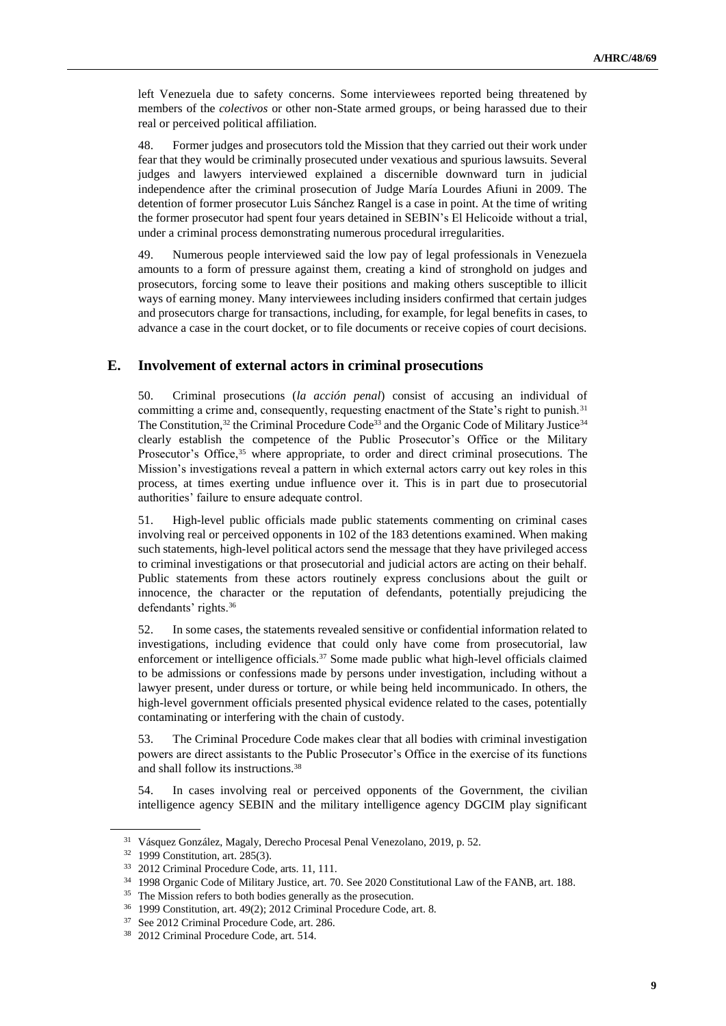left Venezuela due to safety concerns. Some interviewees reported being threatened by members of the *colectivos* or other non-State armed groups, or being harassed due to their real or perceived political affiliation.

48. Former judges and prosecutors told the Mission that they carried out their work under fear that they would be criminally prosecuted under vexatious and spurious lawsuits. Several judges and lawyers interviewed explained a discernible downward turn in judicial independence after the criminal prosecution of Judge María Lourdes Afiuni in 2009. The detention of former prosecutor Luis Sánchez Rangel is a case in point. At the time of writing the former prosecutor had spent four years detained in SEBIN's El Helicoide without a trial, under a criminal process demonstrating numerous procedural irregularities.

49. Numerous people interviewed said the low pay of legal professionals in Venezuela amounts to a form of pressure against them, creating a kind of stronghold on judges and prosecutors, forcing some to leave their positions and making others susceptible to illicit ways of earning money. Many interviewees including insiders confirmed that certain judges and prosecutors charge for transactions, including, for example, for legal benefits in cases, to advance a case in the court docket, or to file documents or receive copies of court decisions.

# **E. Involvement of external actors in criminal prosecutions**

50. Criminal prosecutions (*la acción penal*) consist of accusing an individual of committing a crime and, consequently, requesting enactment of the State's right to punish.<sup>31</sup> The Constitution,<sup>32</sup> the Criminal Procedure Code<sup>33</sup> and the Organic Code of Military Justice<sup>34</sup> clearly establish the competence of the Public Prosecutor's Office or the Military Prosecutor's Office, $35$  where appropriate, to order and direct criminal prosecutions. The Mission's investigations reveal a pattern in which external actors carry out key roles in this process, at times exerting undue influence over it. This is in part due to prosecutorial authorities' failure to ensure adequate control.

51. High-level public officials made public statements commenting on criminal cases involving real or perceived opponents in 102 of the 183 detentions examined. When making such statements, high-level political actors send the message that they have privileged access to criminal investigations or that prosecutorial and judicial actors are acting on their behalf. Public statements from these actors routinely express conclusions about the guilt or innocence, the character or the reputation of defendants, potentially prejudicing the defendants' rights.<sup>36</sup>

52. In some cases, the statements revealed sensitive or confidential information related to investigations, including evidence that could only have come from prosecutorial, law enforcement or intelligence officials.<sup>37</sup> Some made public what high-level officials claimed to be admissions or confessions made by persons under investigation, including without a lawyer present, under duress or torture, or while being held incommunicado. In others, the high-level government officials presented physical evidence related to the cases, potentially contaminating or interfering with the chain of custody.

53. The Criminal Procedure Code makes clear that all bodies with criminal investigation powers are direct assistants to the Public Prosecutor's Office in the exercise of its functions and shall follow its instructions.<sup>38</sup>

54. In cases involving real or perceived opponents of the Government, the civilian intelligence agency SEBIN and the military intelligence agency DGCIM play significant

<sup>31</sup> Vásquez González, Magaly, Derecho Procesal Penal Venezolano, 2019, p. 52.

<sup>32</sup> 1999 Constitution, art. 285(3).

<sup>33</sup> 2012 Criminal Procedure Code, arts. 11, 111.

<sup>34</sup> 1998 Organic Code of Military Justice, art. 70. See 2020 Constitutional Law of the FANB, art. 188.

<sup>&</sup>lt;sup>35</sup> The Mission refers to both bodies generally as the prosecution.

<sup>36</sup> 1999 Constitution, art. 49(2); 2012 Criminal Procedure Code, art. 8.

<sup>37</sup> See 2012 Criminal Procedure Code, art. 286.

<sup>38</sup> 2012 Criminal Procedure Code, art. 514.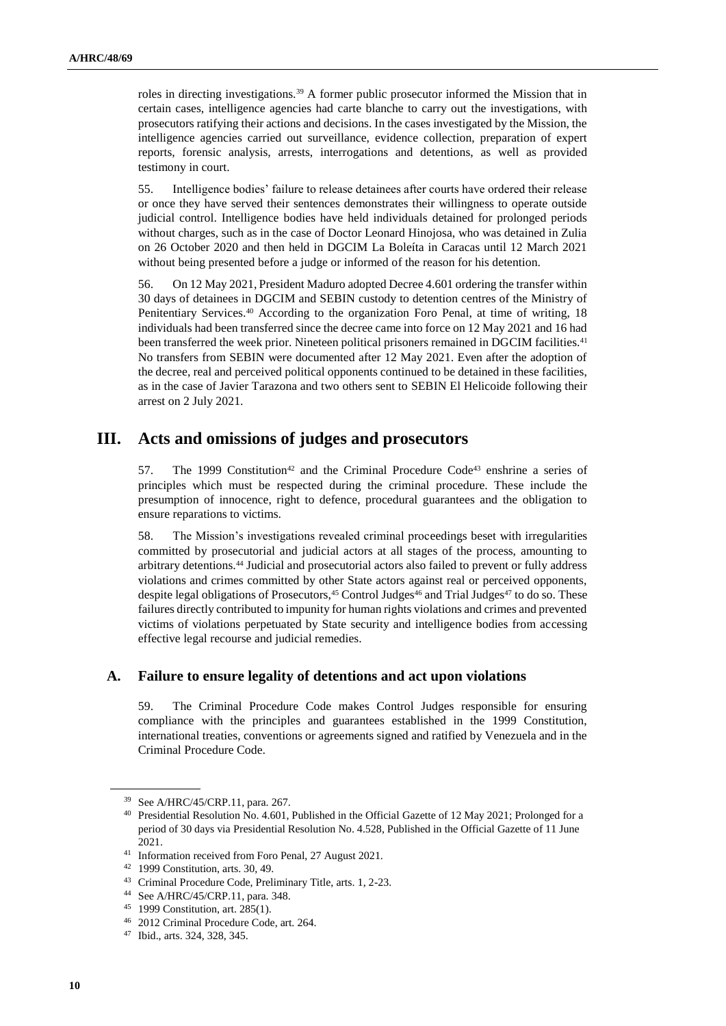roles in directing investigations.<sup>39</sup> A former public prosecutor informed the Mission that in certain cases, intelligence agencies had carte blanche to carry out the investigations, with prosecutors ratifying their actions and decisions. In the cases investigated by the Mission, the intelligence agencies carried out surveillance, evidence collection, preparation of expert reports, forensic analysis, arrests, interrogations and detentions, as well as provided testimony in court.

55. Intelligence bodies' failure to release detainees after courts have ordered their release or once they have served their sentences demonstrates their willingness to operate outside judicial control. Intelligence bodies have held individuals detained for prolonged periods without charges, such as in the case of Doctor Leonard Hinojosa, who was detained in Zulia on 26 October 2020 and then held in DGCIM La Boleíta in Caracas until 12 March 2021 without being presented before a judge or informed of the reason for his detention.

56. On 12 May 2021, President Maduro adopted Decree 4.601 ordering the transfer within 30 days of detainees in DGCIM and SEBIN custody to detention centres of the Ministry of Penitentiary Services.<sup>40</sup> According to the organization Foro Penal, at time of writing, 18 individuals had been transferred since the decree came into force on 12 May 2021 and 16 had been transferred the week prior. Nineteen political prisoners remained in DGCIM facilities.<sup>41</sup> No transfers from SEBIN were documented after 12 May 2021. Even after the adoption of the decree, real and perceived political opponents continued to be detained in these facilities, as in the case of Javier Tarazona and two others sent to SEBIN El Helicoide following their arrest on 2 July 2021.

# **III. Acts and omissions of judges and prosecutors**

57. The 1999 Constitution<sup>42</sup> and the Criminal Procedure Code<sup>43</sup> enshrine a series of principles which must be respected during the criminal procedure. These include the presumption of innocence, right to defence, procedural guarantees and the obligation to ensure reparations to victims.

58. The Mission's investigations revealed criminal proceedings beset with irregularities committed by prosecutorial and judicial actors at all stages of the process, amounting to arbitrary detentions.<sup>44</sup> Judicial and prosecutorial actors also failed to prevent or fully address violations and crimes committed by other State actors against real or perceived opponents, despite legal obligations of Prosecutors, $45$  Control Judges $46$  and Trial Judges $47$  to do so. These failures directly contributed to impunity for human rights violations and crimes and prevented victims of violations perpetuated by State security and intelligence bodies from accessing effective legal recourse and judicial remedies.

### **A. Failure to ensure legality of detentions and act upon violations**

59. The Criminal Procedure Code makes Control Judges responsible for ensuring compliance with the principles and guarantees established in the 1999 Constitution, international treaties, conventions or agreements signed and ratified by Venezuela and in the Criminal Procedure Code.

<sup>39</sup> See A/HRC/45/CRP.11, para. 267.

<sup>40</sup> Presidential Resolution No. 4.601, Published in the Official Gazette of 12 May 2021; Prolonged for a period of 30 days via Presidential Resolution No. 4.528, Published in the Official Gazette of 11 June 2021.

<sup>41</sup> Information received from Foro Penal, 27 August 2021.

<sup>42</sup> 1999 Constitution, arts. 30, 49.

<sup>43</sup> Criminal Procedure Code, Preliminary Title, arts. 1, 2-23.

<sup>44</sup> See A/HRC/45/CRP.11, para. 348.

<sup>45</sup> 1999 Constitution, art. 285(1).

<sup>46</sup> 2012 Criminal Procedure Code, art. 264.

<sup>47</sup> Ibid., arts. 324, 328, 345.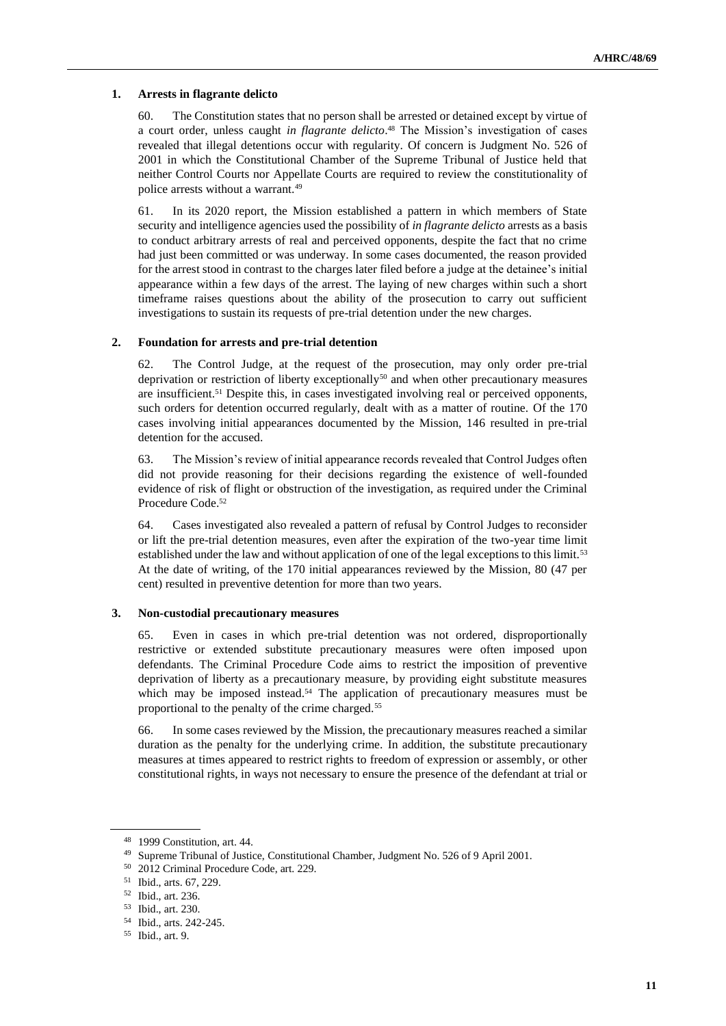#### **1. Arrests in flagrante delicto**

60. The Constitution states that no person shall be arrested or detained except by virtue of a court order, unless caught *in flagrante delicto*. <sup>48</sup> The Mission's investigation of cases revealed that illegal detentions occur with regularity. Of concern is Judgment No. 526 of 2001 in which the Constitutional Chamber of the Supreme Tribunal of Justice held that neither Control Courts nor Appellate Courts are required to review the constitutionality of police arrests without a warrant.<sup>49</sup>

61. In its 2020 report, the Mission established a pattern in which members of State security and intelligence agencies used the possibility of *in flagrante delicto* arrests as a basis to conduct arbitrary arrests of real and perceived opponents, despite the fact that no crime had just been committed or was underway. In some cases documented, the reason provided for the arrest stood in contrast to the charges later filed before a judge at the detainee's initial appearance within a few days of the arrest. The laying of new charges within such a short timeframe raises questions about the ability of the prosecution to carry out sufficient investigations to sustain its requests of pre-trial detention under the new charges.

#### **2. Foundation for arrests and pre-trial detention**

62. The Control Judge, at the request of the prosecution, may only order pre-trial deprivation or restriction of liberty exceptionally<sup>50</sup> and when other precautionary measures are insufficient.<sup>51</sup> Despite this, in cases investigated involving real or perceived opponents, such orders for detention occurred regularly, dealt with as a matter of routine. Of the 170 cases involving initial appearances documented by the Mission, 146 resulted in pre-trial detention for the accused.

63. The Mission's review of initial appearance records revealed that Control Judges often did not provide reasoning for their decisions regarding the existence of well-founded evidence of risk of flight or obstruction of the investigation, as required under the Criminal Procedure Code.<sup>52</sup>

64. Cases investigated also revealed a pattern of refusal by Control Judges to reconsider or lift the pre-trial detention measures, even after the expiration of the two-year time limit established under the law and without application of one of the legal exceptions to this limit.<sup>53</sup> At the date of writing, of the 170 initial appearances reviewed by the Mission, 80 (47 per cent) resulted in preventive detention for more than two years.

### **3. Non-custodial precautionary measures**

65. Even in cases in which pre-trial detention was not ordered, disproportionally restrictive or extended substitute precautionary measures were often imposed upon defendants. The Criminal Procedure Code aims to restrict the imposition of preventive deprivation of liberty as a precautionary measure, by providing eight substitute measures which may be imposed instead.<sup>54</sup> The application of precautionary measures must be proportional to the penalty of the crime charged.<sup>55</sup>

66. In some cases reviewed by the Mission, the precautionary measures reached a similar duration as the penalty for the underlying crime. In addition, the substitute precautionary measures at times appeared to restrict rights to freedom of expression or assembly, or other constitutional rights, in ways not necessary to ensure the presence of the defendant at trial or

<sup>48</sup> 1999 Constitution, art. 44.

<sup>&</sup>lt;sup>49</sup> Supreme Tribunal of Justice, Constitutional Chamber, Judgment No. 526 of 9 April 2001.<br>50 2012 Criminal Procedure Code art 220

<sup>2012</sup> Criminal Procedure Code, art. 229.

<sup>51</sup> Ibid., arts. 67, 229.

<sup>52</sup> Ibid., art. 236.

<sup>53</sup> Ibid., art. 230.

<sup>54</sup> Ibid., arts. 242-245.

<sup>55</sup> Ibid., art. 9.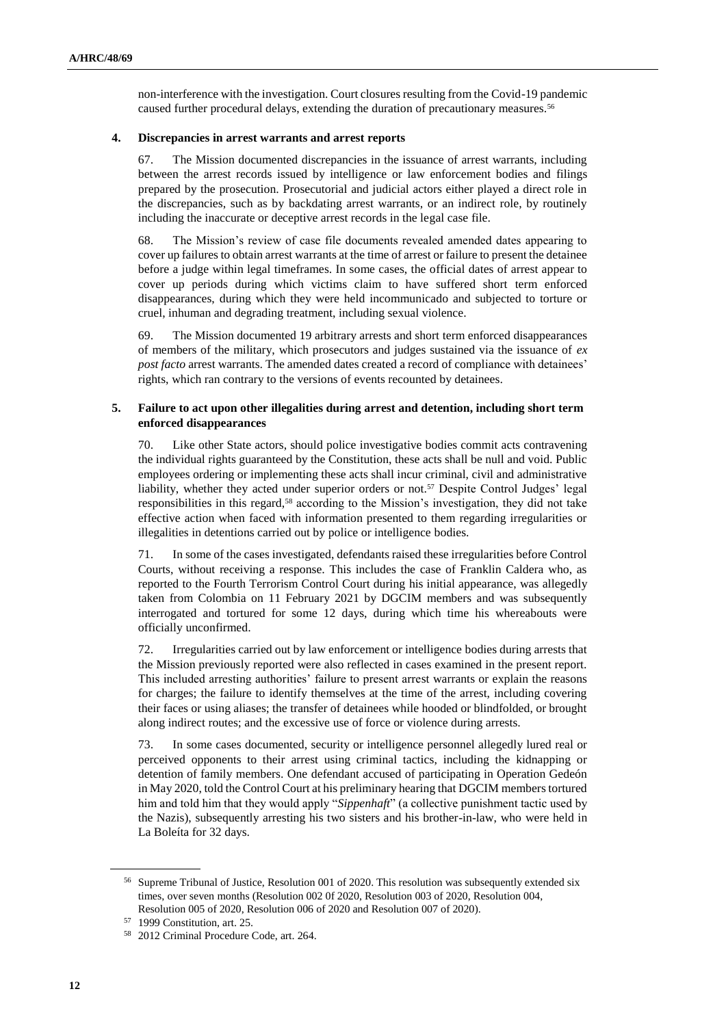non-interference with the investigation. Court closures resulting from the Covid-19 pandemic caused further procedural delays, extending the duration of precautionary measures.<sup>56</sup>

#### **4. Discrepancies in arrest warrants and arrest reports**

67. The Mission documented discrepancies in the issuance of arrest warrants, including between the arrest records issued by intelligence or law enforcement bodies and filings prepared by the prosecution. Prosecutorial and judicial actors either played a direct role in the discrepancies, such as by backdating arrest warrants, or an indirect role, by routinely including the inaccurate or deceptive arrest records in the legal case file.

68. The Mission's review of case file documents revealed amended dates appearing to cover up failures to obtain arrest warrants at the time of arrest or failure to present the detainee before a judge within legal timeframes. In some cases, the official dates of arrest appear to cover up periods during which victims claim to have suffered short term enforced disappearances, during which they were held incommunicado and subjected to torture or cruel, inhuman and degrading treatment, including sexual violence.

69. The Mission documented 19 arbitrary arrests and short term enforced disappearances of members of the military, which prosecutors and judges sustained via the issuance of *ex post facto* arrest warrants. The amended dates created a record of compliance with detainees' rights, which ran contrary to the versions of events recounted by detainees.

#### **5. Failure to act upon other illegalities during arrest and detention, including short term enforced disappearances**

70. Like other State actors, should police investigative bodies commit acts contravening the individual rights guaranteed by the Constitution, these acts shall be null and void. Public employees ordering or implementing these acts shall incur criminal, civil and administrative liability, whether they acted under superior orders or not.<sup>57</sup> Despite Control Judges' legal responsibilities in this regard,<sup>58</sup> according to the Mission's investigation, they did not take effective action when faced with information presented to them regarding irregularities or illegalities in detentions carried out by police or intelligence bodies.

71. In some of the cases investigated, defendants raised these irregularities before Control Courts, without receiving a response. This includes the case of Franklin Caldera who, as reported to the Fourth Terrorism Control Court during his initial appearance, was allegedly taken from Colombia on 11 February 2021 by DGCIM members and was subsequently interrogated and tortured for some 12 days, during which time his whereabouts were officially unconfirmed.

72. Irregularities carried out by law enforcement or intelligence bodies during arrests that the Mission previously reported were also reflected in cases examined in the present report. This included arresting authorities' failure to present arrest warrants or explain the reasons for charges; the failure to identify themselves at the time of the arrest, including covering their faces or using aliases; the transfer of detainees while hooded or blindfolded, or brought along indirect routes; and the excessive use of force or violence during arrests.

73. In some cases documented, security or intelligence personnel allegedly lured real or perceived opponents to their arrest using criminal tactics, including the kidnapping or detention of family members. One defendant accused of participating in Operation Gedeón in May 2020, told the Control Court at his preliminary hearing that DGCIM members tortured him and told him that they would apply "*Sippenhaft*" (a collective punishment tactic used by the Nazis), subsequently arresting his two sisters and his brother-in-law, who were held in La Boleíta for 32 days.

<sup>56</sup> Supreme Tribunal of Justice, Resolution 001 of 2020. This resolution was subsequently extended six times, over seven months (Resolution 002 0f 2020, Resolution 003 of 2020, Resolution 004, Resolution 005 of 2020, Resolution 006 of 2020 and Resolution 007 of 2020).

<sup>57</sup> 1999 Constitution, art. 25.

<sup>58</sup> 2012 Criminal Procedure Code, art. 264.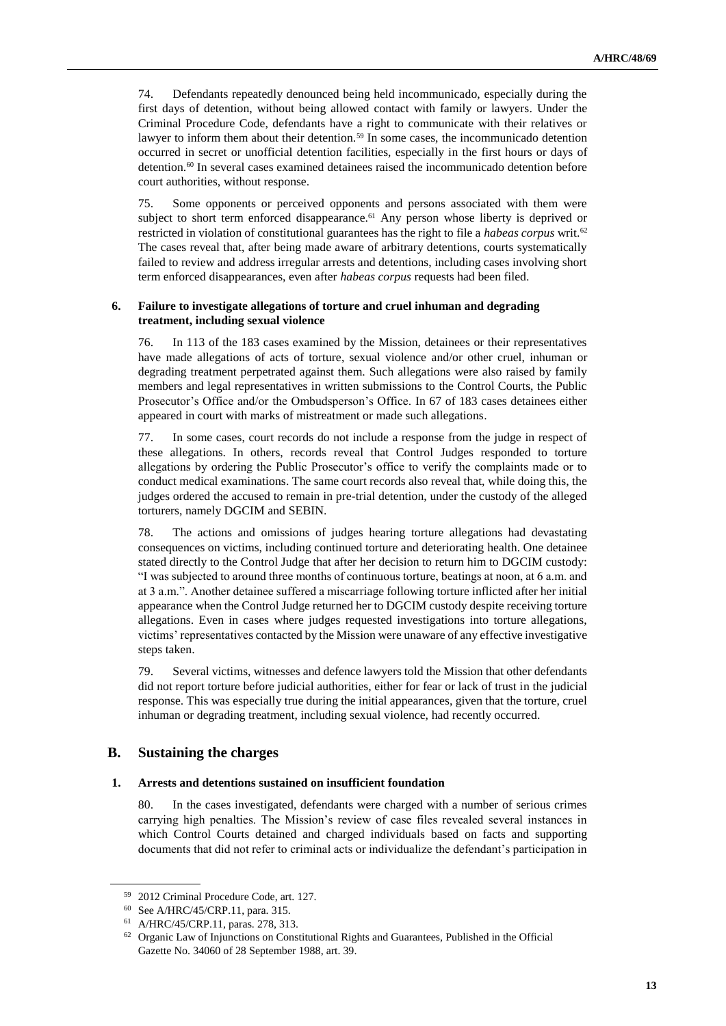74. Defendants repeatedly denounced being held incommunicado, especially during the first days of detention, without being allowed contact with family or lawyers. Under the Criminal Procedure Code, defendants have a right to communicate with their relatives or lawyer to inform them about their detention.<sup>59</sup> In some cases, the incommunicado detention occurred in secret or unofficial detention facilities, especially in the first hours or days of detention.<sup>60</sup> In several cases examined detainees raised the incommunicado detention before court authorities, without response.

75. Some opponents or perceived opponents and persons associated with them were subject to short term enforced disappearance.<sup>61</sup> Any person whose liberty is deprived or restricted in violation of constitutional guarantees has the right to file a *habeas corpus* writ. 62 The cases reveal that, after being made aware of arbitrary detentions, courts systematically failed to review and address irregular arrests and detentions, including cases involving short term enforced disappearances, even after *habeas corpus* requests had been filed.

#### **6. Failure to investigate allegations of torture and cruel inhuman and degrading treatment, including sexual violence**

76. In 113 of the 183 cases examined by the Mission, detainees or their representatives have made allegations of acts of torture, sexual violence and/or other cruel, inhuman or degrading treatment perpetrated against them. Such allegations were also raised by family members and legal representatives in written submissions to the Control Courts, the Public Prosecutor's Office and/or the Ombudsperson's Office. In 67 of 183 cases detainees either appeared in court with marks of mistreatment or made such allegations.

77. In some cases, court records do not include a response from the judge in respect of these allegations. In others, records reveal that Control Judges responded to torture allegations by ordering the Public Prosecutor's office to verify the complaints made or to conduct medical examinations. The same court records also reveal that, while doing this, the judges ordered the accused to remain in pre-trial detention, under the custody of the alleged torturers, namely DGCIM and SEBIN.

78. The actions and omissions of judges hearing torture allegations had devastating consequences on victims, including continued torture and deteriorating health. One detainee stated directly to the Control Judge that after her decision to return him to DGCIM custody: "I was subjected to around three months of continuous torture, beatings at noon, at 6 a.m. and at 3 a.m.". Another detainee suffered a miscarriage following torture inflicted after her initial appearance when the Control Judge returned her to DGCIM custody despite receiving torture allegations. Even in cases where judges requested investigations into torture allegations, victims' representatives contacted by the Mission were unaware of any effective investigative steps taken.

79. Several victims, witnesses and defence lawyers told the Mission that other defendants did not report torture before judicial authorities, either for fear or lack of trust in the judicial response. This was especially true during the initial appearances, given that the torture, cruel inhuman or degrading treatment, including sexual violence, had recently occurred.

# **B. Sustaining the charges**

#### **1. Arrests and detentions sustained on insufficient foundation**

80. In the cases investigated, defendants were charged with a number of serious crimes carrying high penalties. The Mission's review of case files revealed several instances in which Control Courts detained and charged individuals based on facts and supporting documents that did not refer to criminal acts or individualize the defendant's participation in

<sup>59</sup> 2012 Criminal Procedure Code, art. 127.

<sup>60</sup> See A/HRC/45/CRP.11, para. 315.

<sup>61</sup> A/HRC/45/CRP.11, paras. 278, 313.

<sup>&</sup>lt;sup>62</sup> Organic Law of Injunctions on Constitutional Rights and Guarantees, Published in the Official Gazette No. 34060 of 28 September 1988, art. 39.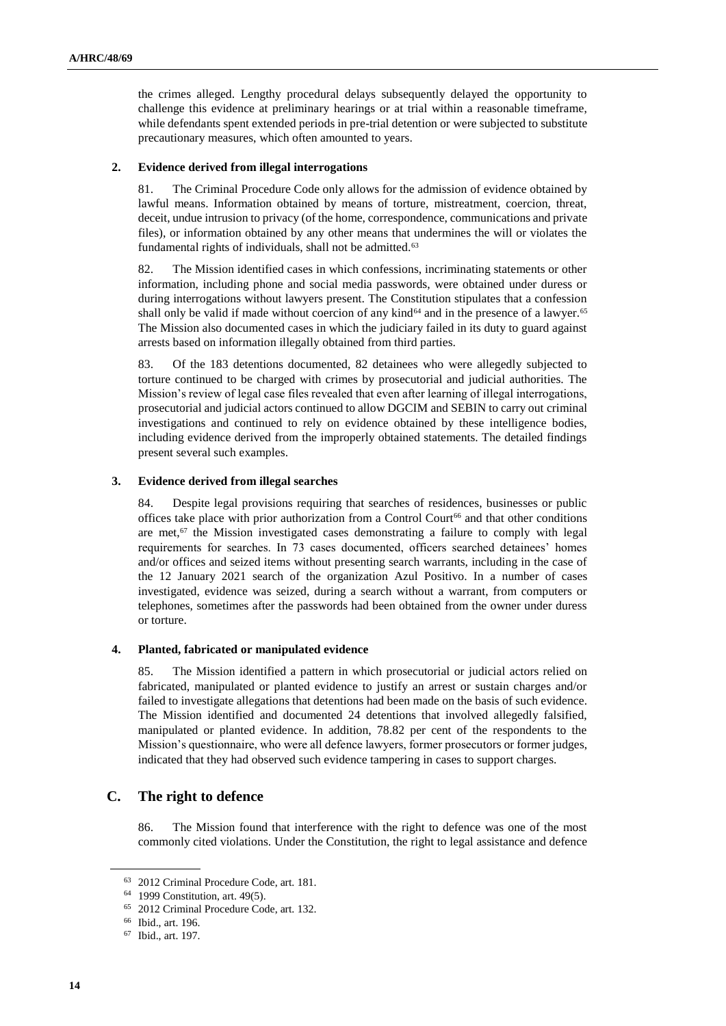the crimes alleged. Lengthy procedural delays subsequently delayed the opportunity to challenge this evidence at preliminary hearings or at trial within a reasonable timeframe, while defendants spent extended periods in pre-trial detention or were subjected to substitute precautionary measures, which often amounted to years.

#### **2. Evidence derived from illegal interrogations**

81. The Criminal Procedure Code only allows for the admission of evidence obtained by lawful means. Information obtained by means of torture, mistreatment, coercion, threat, deceit, undue intrusion to privacy (of the home, correspondence, communications and private files), or information obtained by any other means that undermines the will or violates the fundamental rights of individuals, shall not be admitted.<sup>63</sup>

82. The Mission identified cases in which confessions, incriminating statements or other information, including phone and social media passwords, were obtained under duress or during interrogations without lawyers present. The Constitution stipulates that a confession shall only be valid if made without coercion of any kind<sup>64</sup> and in the presence of a lawyer.<sup>65</sup> The Mission also documented cases in which the judiciary failed in its duty to guard against arrests based on information illegally obtained from third parties.

83. Of the 183 detentions documented, 82 detainees who were allegedly subjected to torture continued to be charged with crimes by prosecutorial and judicial authorities. The Mission's review of legal case files revealed that even after learning of illegal interrogations, prosecutorial and judicial actors continued to allow DGCIM and SEBIN to carry out criminal investigations and continued to rely on evidence obtained by these intelligence bodies, including evidence derived from the improperly obtained statements. The detailed findings present several such examples.

#### **3. Evidence derived from illegal searches**

84. Despite legal provisions requiring that searches of residences, businesses or public offices take place with prior authorization from a Control Court<sup>66</sup> and that other conditions are met, $67$  the Mission investigated cases demonstrating a failure to comply with legal requirements for searches. In 73 cases documented, officers searched detainees' homes and/or offices and seized items without presenting search warrants, including in the case of the 12 January 2021 search of the organization Azul Positivo. In a number of cases investigated, evidence was seized, during a search without a warrant, from computers or telephones, sometimes after the passwords had been obtained from the owner under duress or torture.

#### **4. Planted, fabricated or manipulated evidence**

85. The Mission identified a pattern in which prosecutorial or judicial actors relied on fabricated, manipulated or planted evidence to justify an arrest or sustain charges and/or failed to investigate allegations that detentions had been made on the basis of such evidence. The Mission identified and documented 24 detentions that involved allegedly falsified, manipulated or planted evidence. In addition, 78.82 per cent of the respondents to the Mission's questionnaire, who were all defence lawyers, former prosecutors or former judges, indicated that they had observed such evidence tampering in cases to support charges.

# **C. The right to defence**

86. The Mission found that interference with the right to defence was one of the most commonly cited violations. Under the Constitution, the right to legal assistance and defence

<sup>63</sup> 2012 Criminal Procedure Code, art. 181.

<sup>64</sup> 1999 Constitution, art. 49(5).

<sup>65</sup> 2012 Criminal Procedure Code, art. 132.

<sup>66</sup> Ibid., art. 196.

<sup>67</sup> Ibid., art. 197.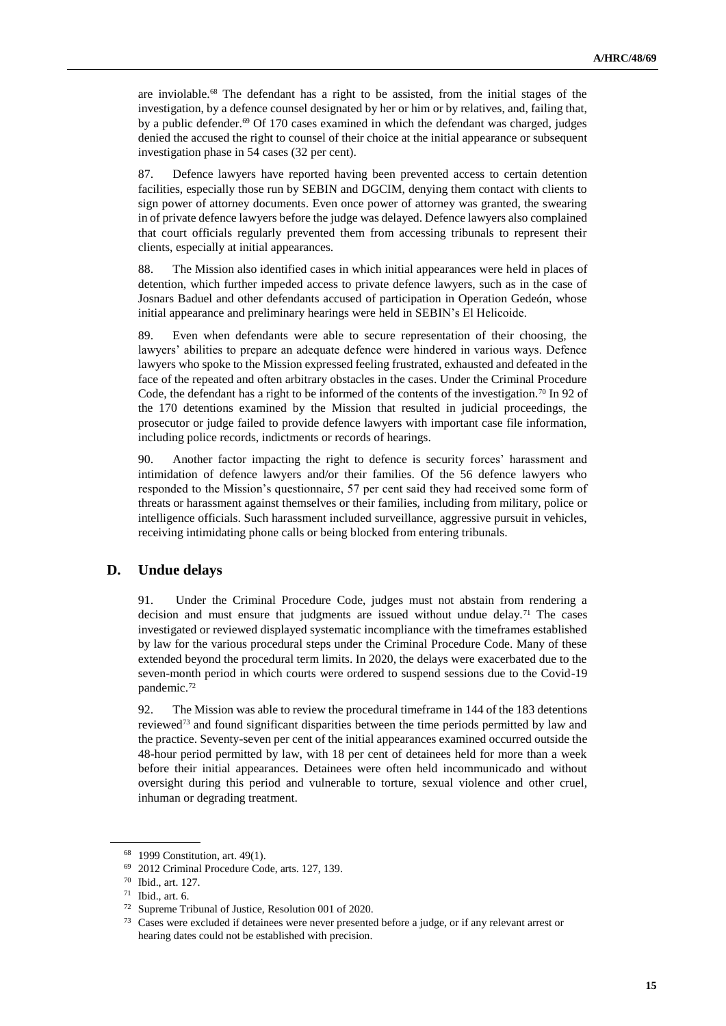are inviolable.<sup>68</sup> The defendant has a right to be assisted, from the initial stages of the investigation, by a defence counsel designated by her or him or by relatives, and, failing that, by a public defender.<sup>69</sup> Of 170 cases examined in which the defendant was charged, judges denied the accused the right to counsel of their choice at the initial appearance or subsequent investigation phase in 54 cases (32 per cent).

87. Defence lawyers have reported having been prevented access to certain detention facilities, especially those run by SEBIN and DGCIM, denying them contact with clients to sign power of attorney documents. Even once power of attorney was granted, the swearing in of private defence lawyers before the judge was delayed. Defence lawyers also complained that court officials regularly prevented them from accessing tribunals to represent their clients, especially at initial appearances.

88. The Mission also identified cases in which initial appearances were held in places of detention, which further impeded access to private defence lawyers, such as in the case of Josnars Baduel and other defendants accused of participation in Operation Gedeón, whose initial appearance and preliminary hearings were held in SEBIN's El Helicoide.

89. Even when defendants were able to secure representation of their choosing, the lawyers' abilities to prepare an adequate defence were hindered in various ways. Defence lawyers who spoke to the Mission expressed feeling frustrated, exhausted and defeated in the face of the repeated and often arbitrary obstacles in the cases. Under the Criminal Procedure Code, the defendant has a right to be informed of the contents of the investigation.<sup>70</sup> In 92 of the 170 detentions examined by the Mission that resulted in judicial proceedings, the prosecutor or judge failed to provide defence lawyers with important case file information, including police records, indictments or records of hearings.

90. Another factor impacting the right to defence is security forces' harassment and intimidation of defence lawyers and/or their families. Of the 56 defence lawyers who responded to the Mission's questionnaire, 57 per cent said they had received some form of threats or harassment against themselves or their families, including from military, police or intelligence officials. Such harassment included surveillance, aggressive pursuit in vehicles, receiving intimidating phone calls or being blocked from entering tribunals.

# **D. Undue delays**

91. Under the Criminal Procedure Code, judges must not abstain from rendering a decision and must ensure that judgments are issued without undue delay.<sup>71</sup> The cases investigated or reviewed displayed systematic incompliance with the timeframes established by law for the various procedural steps under the Criminal Procedure Code. Many of these extended beyond the procedural term limits. In 2020, the delays were exacerbated due to the seven-month period in which courts were ordered to suspend sessions due to the Covid-19 pandemic.<sup>72</sup>

92. The Mission was able to review the procedural timeframe in 144 of the 183 detentions reviewed<sup>73</sup> and found significant disparities between the time periods permitted by law and the practice. Seventy-seven per cent of the initial appearances examined occurred outside the 48-hour period permitted by law, with 18 per cent of detainees held for more than a week before their initial appearances. Detainees were often held incommunicado and without oversight during this period and vulnerable to torture, sexual violence and other cruel, inhuman or degrading treatment.

<sup>68</sup> 1999 Constitution, art. 49(1).

<sup>69</sup> 2012 Criminal Procedure Code, arts. 127, 139.

<sup>70</sup> Ibid., art. 127.

<sup>71</sup> Ibid., art. 6.

<sup>72</sup> Supreme Tribunal of Justice, Resolution 001 of 2020.

<sup>73</sup> Cases were excluded if detainees were never presented before a judge, or if any relevant arrest or hearing dates could not be established with precision.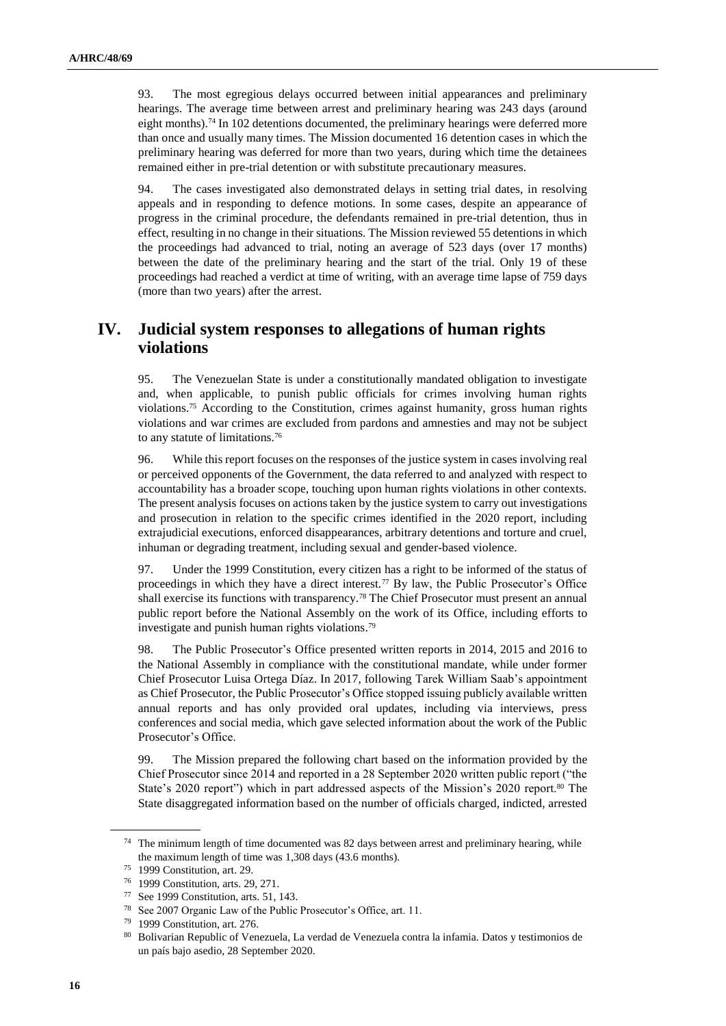93. The most egregious delays occurred between initial appearances and preliminary hearings. The average time between arrest and preliminary hearing was 243 days (around eight months).<sup>74</sup> In 102 detentions documented, the preliminary hearings were deferred more than once and usually many times. The Mission documented 16 detention cases in which the preliminary hearing was deferred for more than two years, during which time the detainees remained either in pre-trial detention or with substitute precautionary measures.

94. The cases investigated also demonstrated delays in setting trial dates, in resolving appeals and in responding to defence motions. In some cases, despite an appearance of progress in the criminal procedure, the defendants remained in pre-trial detention, thus in effect, resulting in no change in their situations. The Mission reviewed 55 detentions in which the proceedings had advanced to trial, noting an average of 523 days (over 17 months) between the date of the preliminary hearing and the start of the trial. Only 19 of these proceedings had reached a verdict at time of writing, with an average time lapse of 759 days (more than two years) after the arrest.

# **IV. Judicial system responses to allegations of human rights violations**

95. The Venezuelan State is under a constitutionally mandated obligation to investigate and, when applicable, to punish public officials for crimes involving human rights violations. <sup>75</sup> According to the Constitution, crimes against humanity, gross human rights violations and war crimes are excluded from pardons and amnesties and may not be subject to any statute of limitations. 76

96. While this report focuses on the responses of the justice system in cases involving real or perceived opponents of the Government, the data referred to and analyzed with respect to accountability has a broader scope, touching upon human rights violations in other contexts. The present analysis focuses on actions taken by the justice system to carry out investigations and prosecution in relation to the specific crimes identified in the 2020 report, including extrajudicial executions, enforced disappearances, arbitrary detentions and torture and cruel, inhuman or degrading treatment, including sexual and gender-based violence.

97. Under the 1999 Constitution, every citizen has a right to be informed of the status of proceedings in which they have a direct interest.<sup>77</sup> By law, the Public Prosecutor's Office shall exercise its functions with transparency.<sup>78</sup> The Chief Prosecutor must present an annual public report before the National Assembly on the work of its Office, including efforts to investigate and punish human rights violations. 79

98. The Public Prosecutor's Office presented written reports in 2014, 2015 and 2016 to the National Assembly in compliance with the constitutional mandate, while under former Chief Prosecutor Luisa Ortega Díaz. In 2017, following Tarek William Saab's appointment as Chief Prosecutor, the Public Prosecutor's Office stopped issuing publicly available written annual reports and has only provided oral updates, including via interviews, press conferences and social media, which gave selected information about the work of the Public Prosecutor's Office.

99. The Mission prepared the following chart based on the information provided by the Chief Prosecutor since 2014 and reported in a 28 September 2020 written public report ("the State's 2020 report") which in part addressed aspects of the Mission's 2020 report.<sup>80</sup> The State disaggregated information based on the number of officials charged, indicted, arrested

<sup>74</sup> The minimum length of time documented was 82 days between arrest and preliminary hearing, while the maximum length of time was 1,308 days (43.6 months).

<sup>75</sup> 1999 Constitution, art. 29.

<sup>76</sup> 1999 Constitution, arts. 29, 271.

<sup>77</sup> See 1999 Constitution, arts. 51, 143.

<sup>78</sup> See 2007 Organic Law of the Public Prosecutor's Office, art. 11.

<sup>79</sup> 1999 Constitution, art. 276.

<sup>80</sup> Bolivarian Republic of Venezuela, La verdad de Venezuela contra la infamia. Datos y testimonios de un país bajo asedio, 28 September 2020.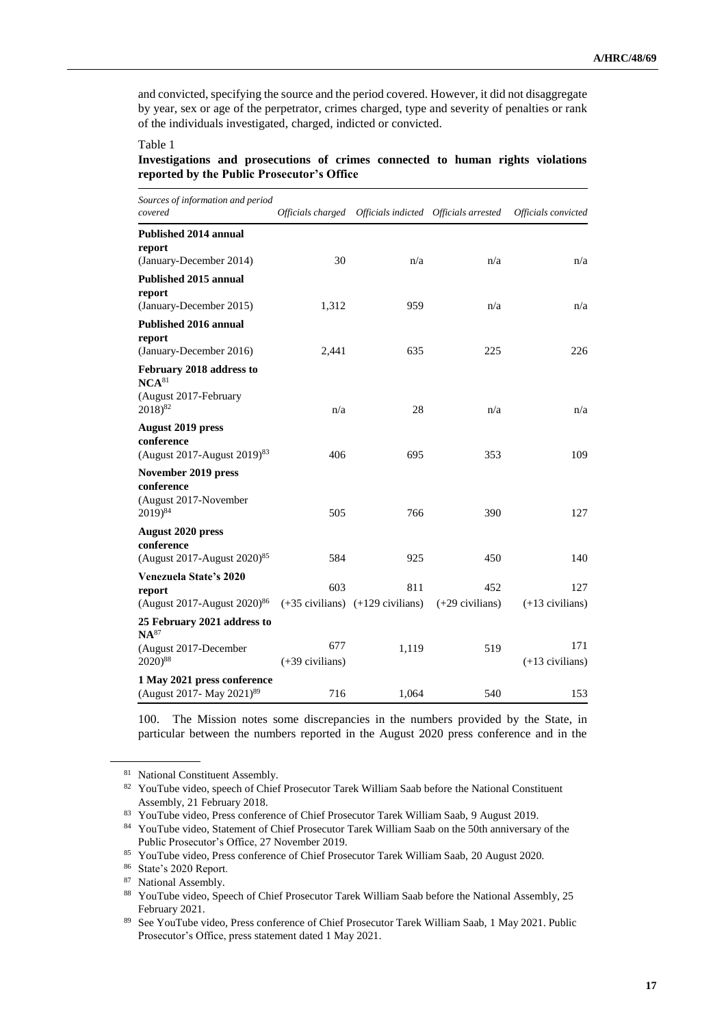and convicted, specifying the source and the period covered. However, it did not disaggregate by year, sex or age of the perpetrator, crimes charged, type and severity of penalties or rank of the individuals investigated, charged, indicted or convicted.

Table 1

#### **Investigations and prosecutions of crimes connected to human rights violations reported by the Public Prosecutor's Office**

| Sources of information and period<br>covered                                      |                   | Officials charged Officials indicted Officials arrested |                   | Officials convicted |
|-----------------------------------------------------------------------------------|-------------------|---------------------------------------------------------|-------------------|---------------------|
| <b>Published 2014 annual</b><br>report                                            |                   |                                                         |                   |                     |
| (January-December 2014)                                                           | 30                | n/a                                                     | n/a               | n/a                 |
| <b>Published 2015 annual</b>                                                      |                   |                                                         |                   |                     |
| report                                                                            | 1,312             | 959                                                     | n/a               | n/a                 |
| (January-December 2015)<br>Published 2016 annual                                  |                   |                                                         |                   |                     |
| report                                                                            |                   |                                                         |                   |                     |
| (January-December 2016)                                                           | 2,441             | 635                                                     | 225               | 226                 |
| February 2018 address to<br>$NCA^{81}$                                            |                   |                                                         |                   |                     |
| (August 2017-February<br>$2018)^{82}$                                             | n/a               | 28                                                      | n/a               | n/a                 |
| <b>August 2019 press</b><br>conference<br>(August 2017-August 2019) <sup>83</sup> | 406               | 695                                                     | 353               | 109                 |
| November 2019 press                                                               |                   |                                                         |                   |                     |
| conference<br>(August 2017-November<br>$2019)^{84}$                               | 505               | 766                                                     | 390               | 127                 |
| <b>August 2020 press</b>                                                          |                   |                                                         |                   |                     |
| conference<br>(August 2017-August $2020^{85}$                                     | 584               | 925                                                     | 450               | 140                 |
| Venezuela State's 2020                                                            |                   |                                                         |                   |                     |
| report                                                                            | 603               | 811<br>$(+35$ civilians) $(+129$ civilians)             | 452               | 127                 |
| (August 2017-August 2020) <sup>86</sup><br>25 February 2021 address to            |                   |                                                         | $(+29$ civilians) | $(+13$ civilians)   |
| $NA^{87}$<br>(August 2017-December                                                | 677               | 1,119                                                   | 519               | 171                 |
| 2020) <sup>88</sup>                                                               | $(+39$ civilians) |                                                         |                   | $(+13$ civilians)   |
| 1 May 2021 press conference<br>(August 2017- May 2021) <sup>89</sup>              | 716               | 1,064                                                   | 540               | 153                 |

100. The Mission notes some discrepancies in the numbers provided by the State, in particular between the numbers reported in the August 2020 press conference and in the

<sup>81</sup> National Constituent Assembly.

<sup>82</sup> YouTube video, speech of Chief Prosecutor Tarek William Saab before the National Constituent Assembly, 21 February 2018.

<sup>83</sup> YouTube video, Press conference of Chief Prosecutor Tarek William Saab, 9 August 2019.

<sup>84</sup> YouTube video, Statement of Chief Prosecutor Tarek William Saab on the 50th anniversary of the Public Prosecutor's Office, 27 November 2019.

<sup>85</sup> YouTube video, Press conference of Chief Prosecutor Tarek William Saab, 20 August 2020.

<sup>86</sup> State's 2020 Report.

<sup>&</sup>lt;sup>87</sup> National Assembly.

<sup>88</sup> YouTube video, Speech of Chief Prosecutor Tarek William Saab before the National Assembly, 25 February 2021.

<sup>89</sup> See YouTube video, Press conference of Chief Prosecutor Tarek William Saab, 1 May 2021. Public Prosecutor's Office, press statement dated 1 May 2021.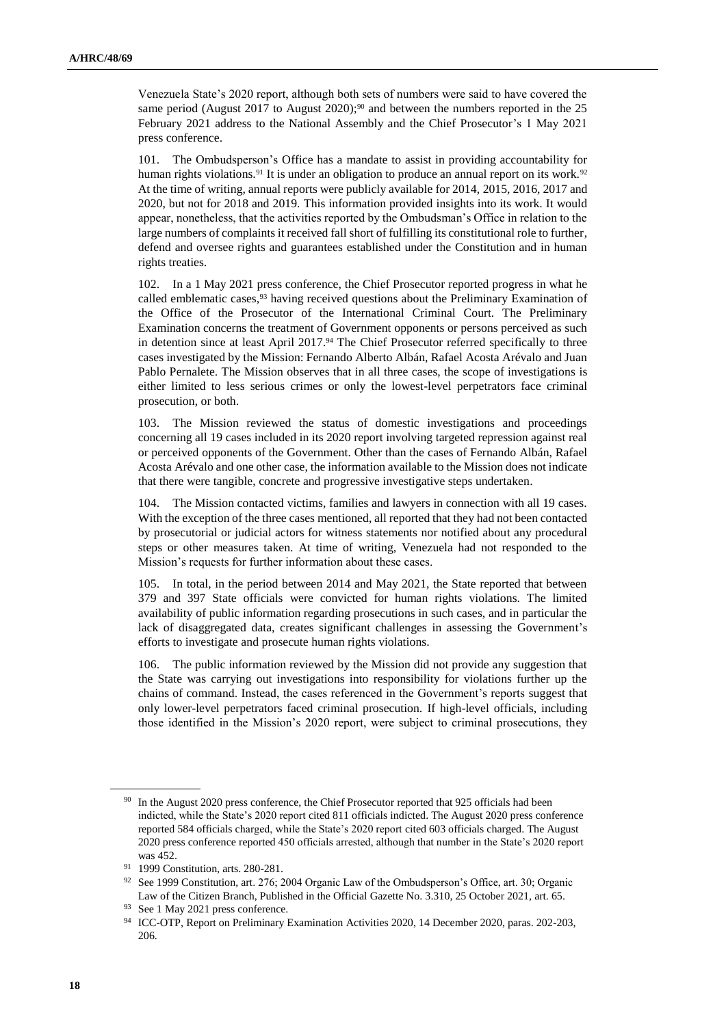Venezuela State's 2020 report, although both sets of numbers were said to have covered the same period (August 2017 to August 2020);<sup>90</sup> and between the numbers reported in the 25 February 2021 address to the National Assembly and the Chief Prosecutor's 1 May 2021 press conference.

101. The Ombudsperson's Office has a mandate to assist in providing accountability for human rights violations.<sup>91</sup> It is under an obligation to produce an annual report on its work.<sup>92</sup> At the time of writing, annual reports were publicly available for 2014, 2015, 2016, 2017 and 2020, but not for 2018 and 2019. This information provided insights into its work. It would appear, nonetheless, that the activities reported by the Ombudsman's Office in relation to the large numbers of complaints it received fall short of fulfilling its constitutional role to further, defend and oversee rights and guarantees established under the Constitution and in human rights treaties.

102. In a 1 May 2021 press conference, the Chief Prosecutor reported progress in what he called emblematic cases,<sup>93</sup> having received questions about the Preliminary Examination of the Office of the Prosecutor of the International Criminal Court. The Preliminary Examination concerns the treatment of Government opponents or persons perceived as such in detention since at least April 2017.94 The Chief Prosecutor referred specifically to three cases investigated by the Mission: Fernando Alberto Albán, Rafael Acosta Arévalo and Juan Pablo Pernalete. The Mission observes that in all three cases, the scope of investigations is either limited to less serious crimes or only the lowest-level perpetrators face criminal prosecution, or both.

103. The Mission reviewed the status of domestic investigations and proceedings concerning all 19 cases included in its 2020 report involving targeted repression against real or perceived opponents of the Government. Other than the cases of Fernando Albán, Rafael Acosta Arévalo and one other case, the information available to the Mission does not indicate that there were tangible, concrete and progressive investigative steps undertaken.

104. The Mission contacted victims, families and lawyers in connection with all 19 cases. With the exception of the three cases mentioned, all reported that they had not been contacted by prosecutorial or judicial actors for witness statements nor notified about any procedural steps or other measures taken. At time of writing, Venezuela had not responded to the Mission's requests for further information about these cases.

105. In total, in the period between 2014 and May 2021, the State reported that between 379 and 397 State officials were convicted for human rights violations. The limited availability of public information regarding prosecutions in such cases, and in particular the lack of disaggregated data, creates significant challenges in assessing the Government's efforts to investigate and prosecute human rights violations.

106. The public information reviewed by the Mission did not provide any suggestion that the State was carrying out investigations into responsibility for violations further up the chains of command. Instead, the cases referenced in the Government's reports suggest that only lower-level perpetrators faced criminal prosecution. If high-level officials, including those identified in the Mission's 2020 report, were subject to criminal prosecutions, they

<sup>&</sup>lt;sup>90</sup> In the August 2020 press conference, the Chief Prosecutor reported that 925 officials had been indicted, while the State's 2020 report cited 811 officials indicted. The August 2020 press conference reported 584 officials charged, while the State's 2020 report cited 603 officials charged. The August 2020 press conference reported 450 officials arrested, although that number in the State's 2020 report was 452.

<sup>91</sup> 1999 Constitution, arts. 280-281.

<sup>92</sup> See 1999 Constitution, art. 276; 2004 Organic Law of the Ombudsperson's Office, art. 30; Organic Law of the Citizen Branch, Published in the Official Gazette No. 3.310, 25 October 2021, art. 65.

<sup>93</sup> See 1 May 2021 press conference.

<sup>94</sup> ICC-OTP, Report on Preliminary Examination Activities 2020, 14 December 2020, paras. 202-203, 206.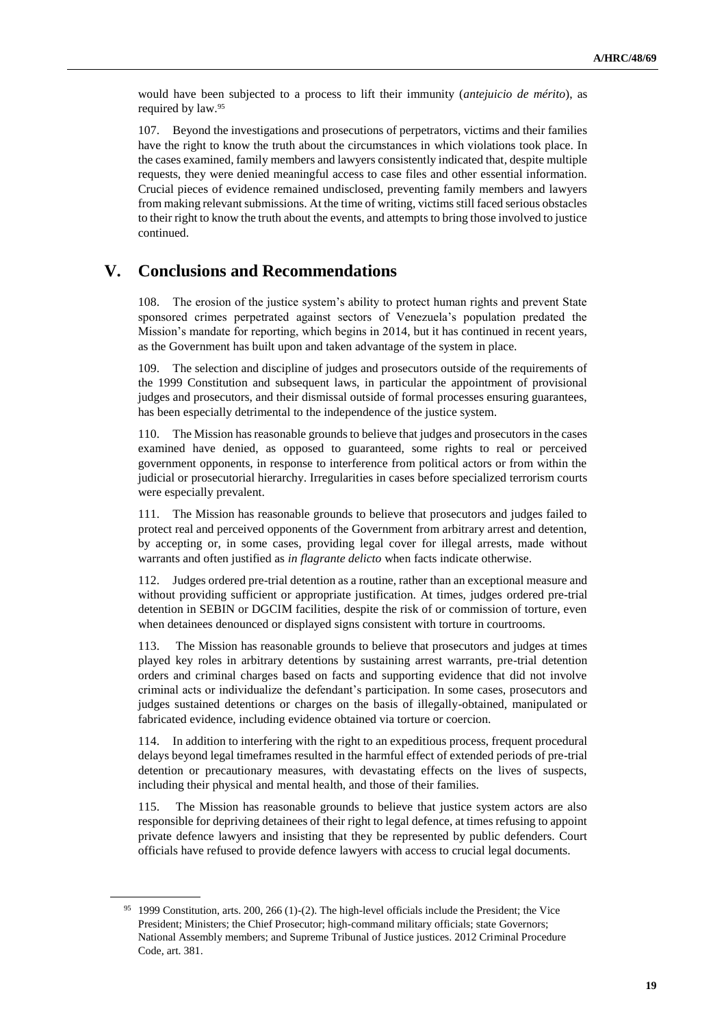would have been subjected to a process to lift their immunity (*antejuicio de mérito*), as required by law.<sup>95</sup>

107. Beyond the investigations and prosecutions of perpetrators, victims and their families have the right to know the truth about the circumstances in which violations took place. In the cases examined, family members and lawyers consistently indicated that, despite multiple requests, they were denied meaningful access to case files and other essential information. Crucial pieces of evidence remained undisclosed, preventing family members and lawyers from making relevant submissions. At the time of writing, victims still faced serious obstacles to their right to know the truth about the events, and attempts to bring those involved to justice continued.

# **V. Conclusions and Recommendations**

108. The erosion of the justice system's ability to protect human rights and prevent State sponsored crimes perpetrated against sectors of Venezuela's population predated the Mission's mandate for reporting, which begins in 2014, but it has continued in recent years, as the Government has built upon and taken advantage of the system in place.

109. The selection and discipline of judges and prosecutors outside of the requirements of the 1999 Constitution and subsequent laws, in particular the appointment of provisional judges and prosecutors, and their dismissal outside of formal processes ensuring guarantees, has been especially detrimental to the independence of the justice system.

110. The Mission has reasonable grounds to believe that judges and prosecutors in the cases examined have denied, as opposed to guaranteed, some rights to real or perceived government opponents, in response to interference from political actors or from within the judicial or prosecutorial hierarchy. Irregularities in cases before specialized terrorism courts were especially prevalent.

111. The Mission has reasonable grounds to believe that prosecutors and judges failed to protect real and perceived opponents of the Government from arbitrary arrest and detention, by accepting or, in some cases, providing legal cover for illegal arrests, made without warrants and often justified as *in flagrante delicto* when facts indicate otherwise.

112. Judges ordered pre-trial detention as a routine, rather than an exceptional measure and without providing sufficient or appropriate justification. At times, judges ordered pre-trial detention in SEBIN or DGCIM facilities, despite the risk of or commission of torture, even when detainees denounced or displayed signs consistent with torture in courtrooms.

113. The Mission has reasonable grounds to believe that prosecutors and judges at times played key roles in arbitrary detentions by sustaining arrest warrants, pre-trial detention orders and criminal charges based on facts and supporting evidence that did not involve criminal acts or individualize the defendant's participation. In some cases, prosecutors and judges sustained detentions or charges on the basis of illegally-obtained, manipulated or fabricated evidence, including evidence obtained via torture or coercion.

114. In addition to interfering with the right to an expeditious process, frequent procedural delays beyond legal timeframes resulted in the harmful effect of extended periods of pre-trial detention or precautionary measures, with devastating effects on the lives of suspects, including their physical and mental health, and those of their families.

115. The Mission has reasonable grounds to believe that justice system actors are also responsible for depriving detainees of their right to legal defence, at times refusing to appoint private defence lawyers and insisting that they be represented by public defenders. Court officials have refused to provide defence lawyers with access to crucial legal documents.

<sup>&</sup>lt;sup>95</sup> 1999 Constitution, arts. 200, 266 (1)-(2). The high-level officials include the President; the Vice President; Ministers; the Chief Prosecutor; high-command military officials; state Governors; National Assembly members; and Supreme Tribunal of Justice justices. 2012 Criminal Procedure Code, art. 381.